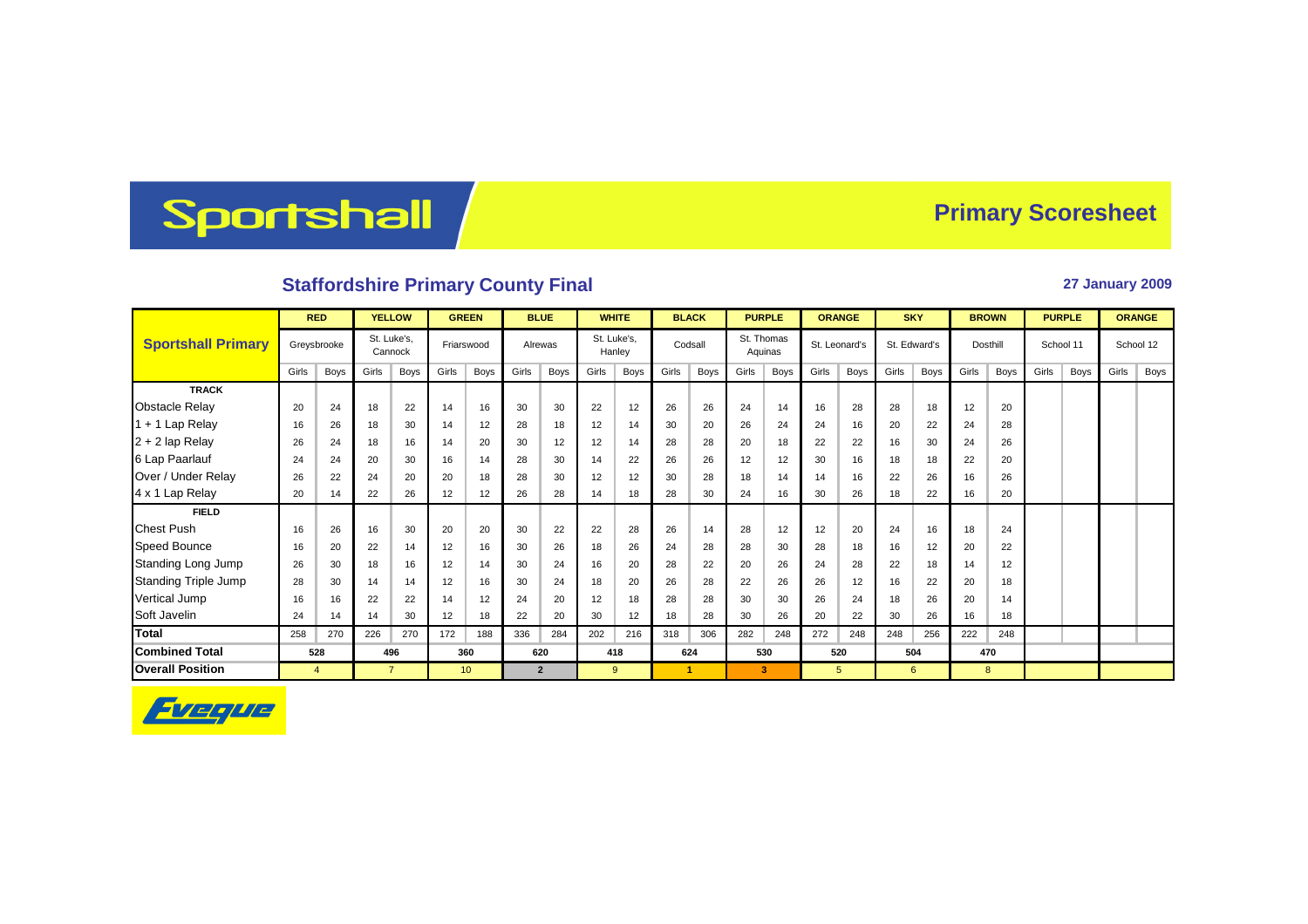## Sportshall

## **Primary Scoresheet**

## **Staffordshire Primary County Final 27 January 2009**

|                             | <b>RED</b> |             | <b>YELLOW</b> |                        | <b>GREEN</b> |                 | <b>BLUE</b> |                | <b>WHITE</b> |                       | <b>BLACK</b> |             | <b>PURPLE</b> |                       | <b>ORANGE</b> |               | <b>SKY</b> |              | <b>BROWN</b> |                 | <b>PURPLE</b> |             | <b>ORANGE</b> |      |
|-----------------------------|------------|-------------|---------------|------------------------|--------------|-----------------|-------------|----------------|--------------|-----------------------|--------------|-------------|---------------|-----------------------|---------------|---------------|------------|--------------|--------------|-----------------|---------------|-------------|---------------|------|
| <b>Sportshall Primary</b>   |            | Greysbrooke |               | St. Luke's.<br>Cannock |              | Friarswood      |             | Alrewas        |              | St. Luke's.<br>Hanley |              | Codsall     |               | St. Thomas<br>Aquinas |               | St. Leonard's |            | St. Edward's |              | <b>Dosthill</b> | School 11     |             | School 12     |      |
|                             | Girls      | Boys        | Girls         | Boys                   | Girls        | <b>Boys</b>     | Girls       | <b>Boys</b>    | Girls        | Boys                  | Girls        | <b>Boys</b> | Girls         | Boys                  | Girls         | Boys          | Girls      | Boys         | Girls        | Boys            | Girls         | <b>Boys</b> | Girls         | Boys |
| <b>TRACK</b>                |            |             |               |                        |              |                 |             |                |              |                       |              |             |               |                       |               |               |            |              |              |                 |               |             |               |      |
| <b>Obstacle Relay</b>       | 20         | 24          | 18            | 22                     | 14           | 16              | 30          | 30             | 22           | 12                    | 26           | 26          | 24            | 14                    | 16            | 28            | 28         | 18           | 12           | 20              |               |             |               |      |
| 1 + 1 Lap Relay             | 16         | 26          | 18            | 30                     | 14           | 12              | 28          | 18             | 12           | 14                    | 30           | 20          | 26            | 24                    | 24            | 16            | 20         | 22           | 24           | 28              |               |             |               |      |
| $2 + 2$ lap Relay           | 26         | 24          | 18            | 16                     | 14           | 20              | 30          | 12             | 12           | 14                    | 28           | 28          | 20            | 18                    | 22            | 22            | 16         | 30           | 24           | 26              |               |             |               |      |
| 6 Lap Paarlauf              | 24         | 24          | 20            | 30                     | 16           | 14              | 28          | 30             | 14           | 22                    | 26           | 26          | 12            | 12                    | 30            | 16            | 18         | 18           | 22           | 20              |               |             |               |      |
| Over / Under Relay          | 26         | 22          | 24            | 20                     | 20           | 18              | 28          | 30             | 12           | 12                    | 30           | 28          | 18            | 14                    | 14            | 16            | 22         | 26           | 16           | 26              |               |             |               |      |
| 4 x 1 Lap Relay             | 20         | 14          | 22            | 26                     | 12           | 12              | 26          | 28             | 14           | 18                    | 28           | 30          | 24            | 16                    | 30            | 26            | 18         | 22           | 16           | 20              |               |             |               |      |
| <b>FIELD</b>                |            |             |               |                        |              |                 |             |                |              |                       |              |             |               |                       |               |               |            |              |              |                 |               |             |               |      |
| <b>Chest Push</b>           | 16         | 26          | 16            | 30                     | 20           | 20              | 30          | 22             | 22           | 28                    | 26           | 14          | 28            | 12                    | 12            | 20            | 24         | 16           | 18           | 24              |               |             |               |      |
| <b>Speed Bounce</b>         | 16         | 20          | 22            | 14                     | 12           | 16              | 30          | 26             | 18           | 26                    | 24           | 28          | 28            | 30                    | 28            | 18            | 16         | 12           | 20           | 22              |               |             |               |      |
| Standing Long Jump          | 26         | 30          | 18            | 16                     | 12           | 14              | 30          | 24             | 16           | 20                    | 28           | 22          | 20            | 26                    | 24            | 28            | 22         | 18           | 14           | 12              |               |             |               |      |
| <b>Standing Triple Jump</b> | 28         | 30          | 14            | 14                     | 12           | 16              | 30          | 24             | 18           | 20                    | 26           | 28          | 22            | 26                    | 26            | 12            | 16         | 22           | 20           | 18              |               |             |               |      |
| Vertical Jump               | 16         | 16          | 22            | 22                     | 14           | 12              | 24          | 20             | 12           | 18                    | 28           | 28          | 30            | 30                    | 26            | 24            | 18         | 26           | 20           | 14              |               |             |               |      |
| Soft Javelin                | 24         | 14          | 14            | 30                     | 12           | 18              | 22          | 20             | 30           | 12                    | 18           | 28          | 30            | 26                    | 20            | 22            | 30         | 26           | 16           | 18              |               |             |               |      |
| <b>Total</b>                | 258        | 270         | 226           | 270                    | 172          | 188             | 336         | 284            | 202          | 216                   | 318          | 306         | 282           | 248                   | 272           | 248           | 248        | 256          | 222          | 248             |               |             |               |      |
| <b>Combined Total</b>       |            | 528         |               | 496                    |              | 360             |             | 620            |              | 418                   |              | 624         |               | 530                   |               | 520           |            | 504          |              | 470             |               |             |               |      |
| <b>Overall Position</b>     |            | 4           |               | $\overline{7}$         |              | 10 <sup>°</sup> |             | $\overline{2}$ |              | $9^{\circ}$           |              | -1          |               | 3                     |               | 5             |            | 6            |              | 8               |               |             |               |      |

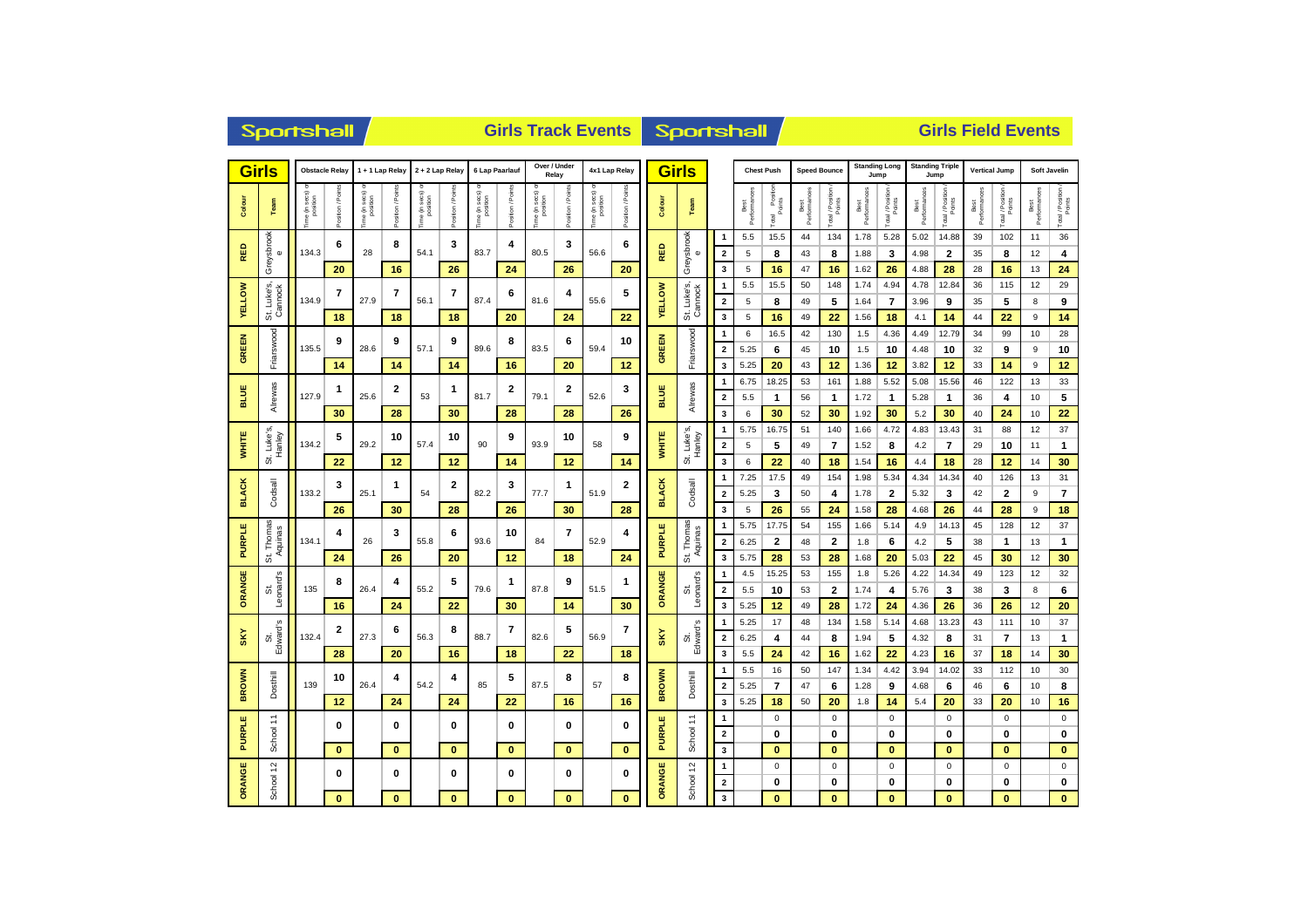| <b>Girls</b>                               |                 | <b>Obstacle Relay</b>      |                  | 1 + 1 Lap Relay         |                | 2 + 2 Lap Relay                   |                 | 6 Lap Paarlauf                      |                  |                          | Over / Under<br>Relay |                                       | 4x1 Lap Relay     |                        | <b>Girls</b>            |                         |                      | <b>Chest Push</b>             | <b>Speed Bounce</b>  |                  | Jump                 | <b>Standing Long</b>    |                      | <b>Standing Triple</b><br>Jump | <b>Vertical Jump</b> |                  |                      | Soft Javelin     |
|--------------------------------------------|-----------------|----------------------------|------------------|-------------------------|----------------|-----------------------------------|-----------------|-------------------------------------|------------------|--------------------------|-----------------------|---------------------------------------|-------------------|------------------------|-------------------------|-------------------------|----------------------|-------------------------------|----------------------|------------------|----------------------|-------------------------|----------------------|--------------------------------|----------------------|------------------|----------------------|------------------|
| Colour                                     | Team            | a (in secs) or<br>position | Position / Point | e (in secs)<br>position | ssition / Poir | e (in secs) «<br>position<br>ë (i | osition / Point | sec <sub>s</sub> )<br>position<br>€ | Position / Point | ie (in secs)<br>position | Position / Poin       | e (in secs) <<br>position<br>ime (in) | Position / Points | Colour                 | <b>Team</b>             |                         | Performances<br>Best | l Position<br>Points<br>Total | Best<br>Performances | Total / Position | Best<br>Performances | Total / Position        | Performances<br>Best | Total / Position<br>Points     | Best<br>Performances | Total / Position | Best<br>Performances | Total / Position |
|                                            |                 |                            | 6                |                         | 8              |                                   | 3               |                                     | 4                |                          | 3                     |                                       | 6                 |                        |                         | $\mathbf{1}$            | 5.5                  | 15.5                          | 44                   | 134              | 1.78                 | 5.28                    | 5.02                 | 14.88                          | 39                   | 102              | 11                   | 36               |
| RED<br>$\pmb{\omega}$                      | Greysbrook      | 134.3                      |                  | 28                      |                | 54.1                              |                 | 83.7                                |                  | 80.5                     |                       | 56.6                                  |                   | RED                    | Greysbrook<br>$\bullet$ | $\overline{\mathbf{2}}$ | 5                    | 8                             | 43                   | 8                | 1.88                 | 3                       | 4.98                 | 2                              | 35                   | 8                | 12                   | 4                |
|                                            |                 |                            | 20               |                         | 16             |                                   | 26              |                                     | 24               |                          | 26                    |                                       | 20                |                        |                         | 3                       | 5                    | 16                            | 47                   | 16               | 1.62                 | 26                      | 4.88                 | 28                             | 28                   | 16               | 13                   | 24               |
|                                            | ທົ              |                            | 7                |                         | 7              |                                   | 7               |                                     | 6                |                          | 4                     |                                       | 5                 |                        | ဟ်                      | $\mathbf{1}$            | 5.5                  | 15.5                          | 50                   | 148              | 1.74                 | 4.94                    | 4.78                 | 12.84                          | 36                   | 115              | 12                   | 29               |
| <b>YELLOW</b>                              | Cannock<br>Luke | 134.9                      |                  | 27.9                    | 56.1           |                                   | 87.4            |                                     | 81.6             |                          | 55.6                  |                                       | <b>VELLOW</b>     | St. Luke's,<br>Cannock | $\overline{\mathbf{2}}$ | 5                       | 8                    | 49                            | 5                    | 1.64             | 7                    | 3.96                    | 9                    | 35                             | 5                    | 8                | 9                    |                  |
|                                            | đή              |                            | 18               |                         | 18             |                                   | 18              |                                     | 20               |                          | 24                    |                                       | 22                |                        |                         | 3                       | 5                    | 16                            | 49                   | 22               | 1.56                 | 18                      | 4.1                  | 14                             | 44                   | 22               | 9                    | 14               |
| 긺                                          |                 |                            | 9                |                         | 9              |                                   | 9               |                                     | 8                |                          | 6                     |                                       | 10                | <b>GREEN</b>           | Friarswood              | $\mathbf{1}$            | 6                    | 16.5                          | 42                   | 130              | 1.5                  | 4.36                    | 4.49                 | 12.79                          | 34                   | 99               | 10                   | 28               |
| GRE                                        | Friarswood      | 135.5                      |                  | 28.6                    |                | 57.1                              |                 | 89.6                                |                  | 83.5                     |                       | 59.4                                  |                   |                        |                         | $\overline{\mathbf{2}}$ | 5.25                 | 6                             | 45                   | 10               | 1.5                  | 10                      | 4.48                 | 10                             | 32                   | 9                | 9                    | 10               |
|                                            |                 |                            | 14               |                         | 14             |                                   | 14              |                                     | 16               |                          | 20                    |                                       | 12                |                        |                         | 3                       | 5.25                 | 20                            | 43                   | 12               | 1.36                 | 12                      | 3.82                 | 12                             | 33                   | 14               | 9                    | 12               |
|                                            |                 |                            | 1                |                         | 2              | 1<br>53                           |                 | 81.7                                | 2                |                          | 2                     |                                       | 3                 |                        |                         | $\mathbf{1}$            | 6.75                 | 18.25                         | 53                   | 161              | 1.88                 | 5.52                    | 5.08                 | 15.56                          | 46                   | 122              | 13                   | 33               |
| BLUE                                       | Alrewas         | 127.9                      |                  | 25.6                    |                |                                   |                 |                                     |                  | 79.1                     |                       | 52.6                                  |                   | BLUE                   | Alrewas                 | $\overline{\mathbf{2}}$ | 5.5                  | 1                             | 56                   | $\mathbf{1}$     | 1.72                 | $\overline{1}$          | 5.28                 | 1                              | 36                   | 4                | 10                   | 5                |
|                                            |                 |                            | 30               |                         | 28             |                                   | 30              |                                     | 28               |                          | 28                    |                                       | 26                |                        |                         | 3                       | 6                    | 30                            | 52                   | 30               | 1.92                 | 30                      | 5.2                  | 30                             | 40                   | 24               | 10                   | 22               |
| t. Luke's,<br>Hanley<br><b>WHITE</b><br>5i |                 |                            | 5                |                         | 10             |                                   | 10              |                                     | 9                |                          | 10                    |                                       | 9                 |                        |                         | -1                      | 5.75                 | 16.75                         | 51                   | 140              | 1.66                 | 4.72                    | 4.83                 | 13.43                          | 31                   | 88               | 12                   | 37               |
|                                            |                 | 134.2                      |                  | 29.2                    |                | 57.4                              |                 | 90                                  |                  | 93.9                     |                       | 58                                    |                   | <b>WHITE</b>           | St. Luke's,<br>Hanley   | $\overline{\mathbf{2}}$ | 5                    | 5                             | 49                   | $\overline{7}$   | 1.52                 | 8                       | 4.2                  | $\overline{7}$                 | 29                   | 10               | 11                   | 1                |
|                                            |                 |                            | 22               |                         | 12             |                                   | 12              |                                     | 14               |                          | 12                    |                                       | 14                |                        |                         | 3                       | 6                    | 22                            | 40                   | 18               | 1.54                 | 16                      | 4.4                  | 18                             | 28                   | 12               | 14                   | 30               |
|                                            |                 |                            | 3                |                         | 1              |                                   | 2               |                                     | 3                |                          | 1                     |                                       | 2                 |                        |                         | -1                      | 7.25                 | 17.5                          | 49                   | 154              | 1.98                 | 5.34                    | 4.34                 | 14.34                          | 40                   | 126              | 13                   | 31               |
| <b>BLACK</b>                               | Codsall         | 133.2                      |                  | 25.1                    |                | 54                                |                 | 82.2                                |                  | 77.7                     |                       | 51.9                                  |                   | <b>BLACK</b>           | Codsall                 | $\overline{\mathbf{2}}$ | 5.25                 | 3                             | 50                   | 4                | 1.78                 | $\overline{\mathbf{2}}$ | 5.32                 | 3                              | 42                   | $\mathbf{2}$     | 9                    | 7                |
|                                            |                 |                            | 26               |                         | 30             |                                   | 28              |                                     | 26               |                          | 30                    |                                       | 28                |                        |                         | 3                       | 5                    | 26                            | 55                   | 24               | 1.58                 | 28                      | 4.68                 | 26                             | 44                   | 28               | 9                    | 18               |
|                                            | Thomas          |                            | 4                | 3                       |                |                                   | 6               |                                     | 10               |                          | 7                     |                                       | 4                 |                        | Thomas                  | $\mathbf{1}$            | 5.75                 | 17.75                         | 54                   | 155              | 1.66                 | 5.14                    | 4.9                  | 14.13                          | 45                   | 128              | 12                   | 37               |
| <b>PURPLE</b>                              | Aquinas         | 134.1                      |                  | 26                      |                | 55.8                              |                 | 93.6                                |                  | 84                       |                       | 52.9                                  |                   | <b>PURPLE</b>          | Aquinas                 | $\overline{2}$          | 6.25                 | $\mathbf{2}$                  | 48                   | $\mathbf{2}$     | 1.8                  | 6                       | 4.2                  | 5                              | 38                   | 1                | 13                   | 1                |
|                                            | 5               |                            | 24               |                         | 26             |                                   | 20              |                                     | 12               |                          | 18                    |                                       | 24                |                        | si,                     | 3                       | 5.75                 | 28                            | 53                   | 28               | 1.68                 | 20                      | 5.03                 | 22                             | 45                   | 30               | 12                   | 30               |
|                                            |                 |                            | 8                |                         | 4              |                                   | 5               |                                     | 1                | 87.8                     | 9                     | 51.5                                  | 1                 | ORANGE                 | Leonard's<br>ΰ,         | $\mathbf{1}$            | 4.5                  | 15.25                         | 53                   | 155              | 1.8                  | 5.26                    | 4.22                 | 14.34                          | 49                   | 123              | 12                   | 32               |
| ORANGE                                     | Leonard's<br>ō  | 135                        |                  | 26.4                    |                | 55.2                              |                 | 79.6                                |                  |                          |                       |                                       |                   |                        |                         | $\overline{\mathbf{2}}$ | 5.5                  | 10                            | 53                   | $\overline{2}$   | 1.74                 | 4                       | 5.76                 | 3                              | 38                   | 3                | 8                    | 6                |
|                                            |                 |                            | 16               |                         | 24             |                                   | 22              |                                     | 30               |                          | 14                    |                                       | 30                |                        |                         | 3                       | 5.25                 | 12                            | 49                   | 28               | 1.72                 | 24                      | 4.36                 | 26                             | 36                   | 26               | 12                   | 20               |
|                                            |                 |                            | $\mathbf{2}$     |                         | 6              |                                   | 8               |                                     | 7                |                          | 5                     |                                       | 7                 |                        |                         | $\mathbf{1}$            | 5.25                 | 17                            | 48                   | 134              | 1.58                 | 5.14                    | 4.68                 | 13.23                          | 43                   | 111              | 10                   | 37               |
| SKY                                        | Edward's<br>õ5. | 132.4                      |                  | 27.3                    |                | 56.3                              |                 | 88.7                                |                  | 82.6                     |                       | 56.9                                  |                   | SKY                    | St.<br>Edward's         | $\overline{\mathbf{2}}$ | 6.25                 | 4                             | 44                   | 8                | 1.94                 | 5                       | 4.32                 | 8                              | 31                   | $\overline{7}$   | 13                   | $\mathbf{1}$     |
|                                            |                 |                            | 28               |                         | 20             |                                   | 16              |                                     | 18               |                          | 22                    |                                       | 18                |                        |                         | 3                       | 5.5                  | 24                            | 42                   | 16               | 1.62                 | 22                      | 4.23                 | 16                             | 37                   | 18               | 14                   | 30               |
|                                            |                 |                            | 10               |                         | 4              |                                   | 4               |                                     | 5                |                          | 8                     |                                       | 8                 |                        |                         | -1                      | 5.5                  | 16                            | 50                   | 147              | 1.34                 | 4.42                    | 3.94                 | 14.02                          | 33                   | 112              | 10                   | $30\,$           |
| <b>BROWN</b>                               | Dosthill        | 139                        |                  | 26.4                    |                | 54.2                              |                 | 85                                  |                  | 87.5                     |                       | 57                                    |                   | <b>BROWN</b>           | Dosthill                | $\overline{\mathbf{2}}$ | 5.25                 | $\overline{7}$                | 47                   | 6                | 1.28                 | 9                       | 4.68                 | 6                              | 46                   | 6                | 10                   | 8                |
|                                            |                 |                            | 12               |                         | 24             |                                   | 24              |                                     | 22               |                          | 16                    |                                       | 16                |                        |                         | 3                       | 5.25                 | 18                            | 50                   | 20               | 1.8                  | 14                      | 5.4                  | 20                             | 33                   | 20               | 10                   | 16               |
| ш                                          | ż               |                            | 0                |                         | 0              |                                   | 0               |                                     | 0                |                          | 0                     |                                       | 0                 |                        | ÷                       | $\mathbf{1}$            |                      | $^{\circ}$                    |                      | 0                |                      | 0                       |                      | $\mathbf 0$                    |                      | 0                |                      | $\pmb{0}$        |
| PURPL                                      | School          |                            |                  |                         |                |                                   |                 |                                     |                  |                          |                       |                                       | <b>PURPLE</b>     | School                 | $\overline{\mathbf{2}}$ |                         | $\mathbf{0}$         |                               | 0                    |                  | $\bf{0}$             |                         | $\bf{0}$             |                                | 0                    |                  | 0                    |                  |
|                                            |                 |                            | $\bf{0}$         |                         | $\bf{0}$       |                                   | $\bf{0}$        |                                     | $\mathbf{0}$     |                          | $\bf{0}$              |                                       | $\bf{0}$          |                        |                         | 3                       |                      | $\bf{0}$                      |                      | $\bf{0}$         |                      | $\bf{0}$                |                      | $\bf{0}$                       |                      | $\bf{0}$         |                      | $\bf{0}$         |
| ORANGE                                     | $\tilde{c}$     |                            | 0                |                         | 0              |                                   | 0               |                                     | 0                |                          | 0                     |                                       | 0                 | ORANGE                 |                         | $\mathbf{1}$            |                      | $\mathsf 0$                   |                      | $\pmb{0}$        |                      | $\mathsf 0$             |                      | $\mathbf 0$                    |                      | $\mathbf 0$      |                      | $\pmb{0}$        |
|                                            | School          |                            |                  |                         |                |                                   |                 |                                     |                  |                          |                       |                                       |                   |                        | School 12               | $\overline{\mathbf{2}}$ |                      | 0                             |                      | 0                |                      | 0                       |                      | 0                              |                      | 0                |                      | 0                |
|                                            |                 |                            | $\bf{0}$         |                         | $\bf{0}$       |                                   | $\bf{0}$        |                                     | $\bf{0}$         |                          | $\bf{0}$              |                                       | $\bf{0}$          |                        |                         | 3                       |                      | $\bf{0}$                      |                      | $\bf{0}$         |                      | $\bf{0}$                |                      | $\bf{0}$                       |                      | $\bf{0}$         |                      | $\bf{0}$         |

Sportshall

**Girls Track Events Girls Field Events**